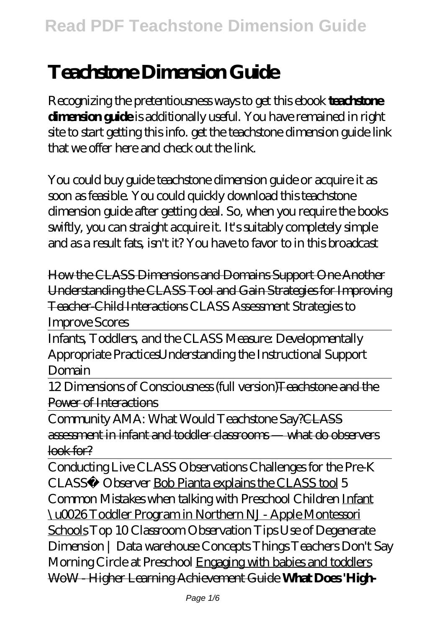# **Teachstone Dimension Guide**

Recognizing the pretentiousness ways to get this ebook **teachstone dimension guide** is additionally useful. You have remained in right site to start getting this info. get the teachstone dimension guide link that we offer here and check out the link.

You could buy guide teachstone dimension guide or acquire it as soon as feasible. You could quickly download this teachstone dimension guide after getting deal. So, when you require the books swiftly, you can straight acquire it. It's suitably completely simple and as a result fats, isn't it? You have to favor to in this broadcast

How the CLASS Dimensions and Domains Support One Another Understanding the CLASS Tool and Gain Strategies for Improving Teacher-Child Interactions *CLASS Assessment Strategies to Improve Scores*

Infants, Toddlers, and the CLASS Measure: Developmentally Appropriate Practices*Understanding the Instructional Support Domain*

12 Dimensions of Consciousness (full version)Teachstone and the Power of Interactions

Community AMA: What Would Teachstone Say?CLASS assessment in infant and toddler classrooms — what do observers look for?

Conducting Live CLASS Observations Challenges for the Pre-K CLASS™ Observer Bob Pianta explains the CLASS tool 5 Common Mistakes when talking with Preschool Children Infant \u0026 Toddler Program in Northern NJ - Apple Montessori Schools Top 10 Classroom Observation Tips *Use of Degenerate Dimension | Data warehouse Concepts Things Teachers Don't Say Morning Circle at Preschool* Engaging with babies and toddlers WoW - Higher Learning Achievement Guide **What Does 'High-**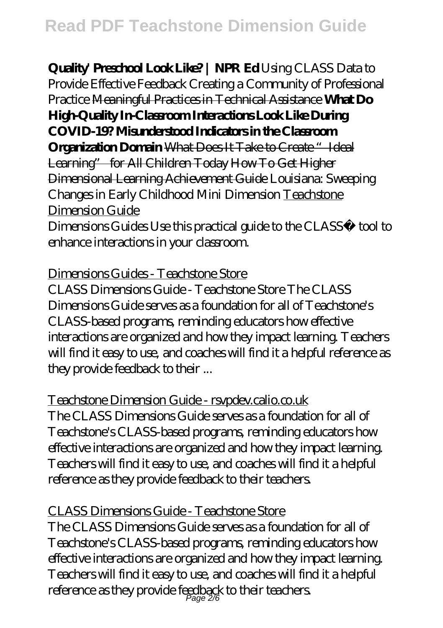**Quality' Preschool Look Like? | NPR Ed** *Using CLASS Data to Provide Effective Feedback Creating a Community of Professional Practice* Meaningful Practices in Technical Assistance **What Do High-Quality In-Classroom Interactions Look Like During COVID-19? Misunderstood Indicators in the Classroom Organization Domain What Does It Take to Create "Ideal** Learning" for All Children Today How To Get Higher Dimensional Learning Achievement Guide *Louisiana: Sweeping Changes in Early Childhood* Mini Dimension Teachstone Dimension Guide Dimensions Guides Use this practical guide to the CLASS™ tool to

enhance interactions in your classroom.

## Dimensions Guides - Teachstone Store

CLASS Dimensions Guide - Teachstone Store The CLASS Dimensions Guide serves as a foundation for all of Teachstone's CLASS-based programs, reminding educators how effective interactions are organized and how they impact learning. Teachers will find it easy to use, and coaches will find it a helpful reference as they provide feedback to their ...

Teachstone Dimension Guide - rsvpdev.calio.co.uk The CLASS Dimensions Guide serves as a foundation for all of Teachstone's CLASS-based programs, reminding educators how

effective interactions are organized and how they impact learning. Teachers will find it easy to use, and coaches will find it a helpful reference as they provide feedback to their teachers.

## CLASS Dimensions Guide - Teachstone Store

The CLASS Dimensions Guide serves as a foundation for all of Teachstone's CLASS-based programs, reminding educators how effective interactions are organized and how they impact learning. Teachers will find it easy to use, and coaches will find it a helpful reference as they provide feedback to their teachers.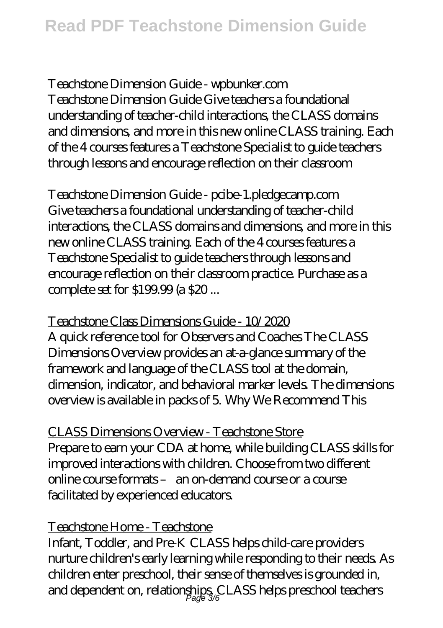Teachstone Dimension Guide - wpbunker.com Teachstone Dimension Guide Give teachers a foundational understanding of teacher-child interactions, the CLASS domains and dimensions, and more in this new online CLASS training. Each of the 4 courses features a Teachstone Specialist to guide teachers through lessons and encourage reflection on their classroom

Teachstone Dimension Guide - pcibe-1.pledgecamp.com Give teachers a foundational understanding of teacher-child interactions, the CLASS domains and dimensions, and more in this new online CLASS training. Each of the 4 courses features a Teachstone Specialist to guide teachers through lessons and encourage reflection on their classroom practice. Purchase as a complete set for \$199.99 (a \$20 ...

Teachstone Class Dimensions Guide - 10/2020 A quick reference tool for Observers and Coaches The CLASS Dimensions Overview provides an at-a-glance summary of the framework and language of the CLASS tool at the domain, dimension, indicator, and behavioral marker levels. The dimensions overview is available in packs of 5. Why We Recommend This

CLASS Dimensions Overview - Teachstone Store Prepare to earn your CDA at home, while building CLASS skills for improved interactions with children. Choose from two different online course formats – an on-demand course or a course facilitated by experienced educators.

## Teachstone Home - Teachstone

Infant, Toddler, and Pre-K CLASS helps child-care providers nurture children's early learning while responding to their needs. As children enter preschool, their sense of themselves is grounded in, and dependent on, relationships, CLASS helps preschool teachers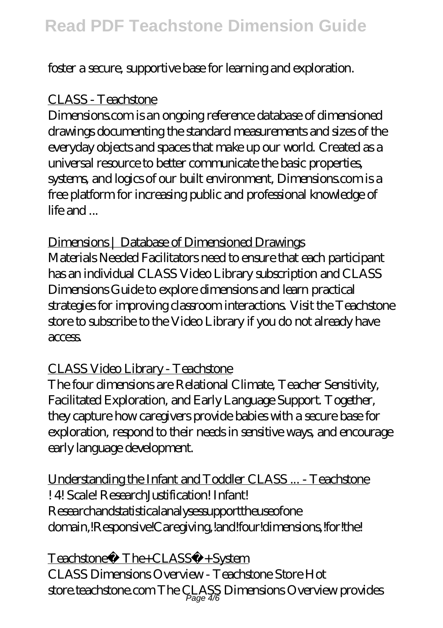foster a secure, supportive base for learning and exploration.

## CLASS - Teachstone

Dimensions.com is an ongoing reference database of dimensioned drawings documenting the standard measurements and sizes of the everyday objects and spaces that make up our world. Created as a universal resource to better communicate the basic properties, systems, and logics of our built environment, Dimensions.com is a free platform for increasing public and professional knowledge of life and ...

Dimensions | Database of Dimensioned Drawings Materials Needed Facilitators need to ensure that each participant has an individual CLASS Video Library subscription and CLASS Dimensions Guide to explore dimensions and learn practical strategies for improving classroom interactions. Visit the Teachstone store to subscribe to the Video Library if you do not already have access.

## CLASS Video Library - Teachstone

The four dimensions are Relational Climate, Teacher Sensitivity, Facilitated Exploration, and Early Language Support. Together, they capture how caregivers provide babies with a secure base for exploration, respond to their needs in sensitive ways, and encourage early language development.

Understanding the Infant and Toddler CLASS ... - Teachstone ! 4! Scale! Research Listification! Infant! Researchandstatisticalanalysessupporttheuseofone domain,!Responsive!Caregiving,!and!four!dimensions,!for!the!

Teachstone® The+CLASS®+System CLASS Dimensions Overview - Teachstone Store Hot store.teachstone.com The  $\c{CLASS}$  Dimensions Overview provides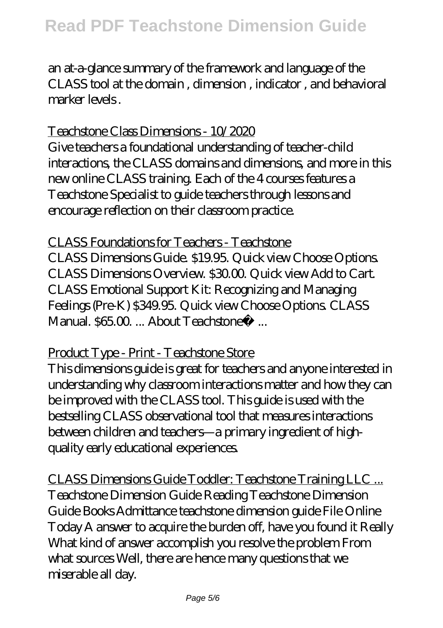an at-a-glance summary of the framework and language of the CLASS tool at the domain , dimension , indicator , and behavioral marker levels .

#### Teachstone Class Dimensions - 10/2020

Give teachers a foundational understanding of teacher-child interactions, the CLASS domains and dimensions, and more in this new online CLASS training. Each of the 4 courses features a Teachstone Specialist to guide teachers through lessons and encourage reflection on their classroom practice.

CLASS Foundations for Teachers - Teachstone CLASS Dimensions Guide. \$19.95. Quick view Choose Options. CLASS Dimensions Overview. \$30.00. Quick view Add to Cart. CLASS Emotional Support Kit: Recognizing and Managing Feelings (Pre-K) \$349.95. Quick view Choose Options. CLASS Manual.  $86500$  ... About Teachstone® ...

#### Product Type - Print - Teachstone Store

This dimensions guide is great for teachers and anyone interested in understanding why classroom interactions matter and how they can be improved with the CLASS tool. This guide is used with the bestselling CLASS observational tool that measures interactions between children and teachers—a primary ingredient of highquality early educational experiences.

CLASS Dimensions Guide Toddler: Teachstone Training LLC ... Teachstone Dimension Guide Reading Teachstone Dimension Guide Books Admittance teachstone dimension guide File Online Today A answer to acquire the burden off, have you found it Really What kind of answer accomplish you resolve the problem From what sources Well, there are hence many questions that we miserable all day.